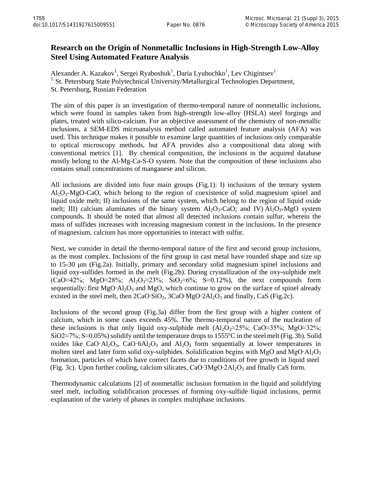## **Research on the Origin of Nonmetallic Inclusions in High-Strength Low-Alloy Steel Using Automated Feature Analysis**

Alexander A. Kazakov<sup>1</sup>, Sergei Ryaboshuk<sup>1</sup>, Daria Lyubochko<sup>1</sup>, Lev Chigintsev<sup>1</sup> <sup>1.</sup> St. Petersburg State Polytechnical University/Metallurgical Technologies Department, St. Petersburg, Russian Federation

The aim of this paper is an investigation of thermo-temporal nature of nonmetallic inclusions, which were found in samples taken from high-strength low-alloy (HSLA) steel forgings and plates, treated with silico-calcium. For an objective assessment of the chemistry of non-metallic inclusions, a SEM-EDS microanalysis method called automated feature analysis (AFA) was used. This technique makes it possible to examine large quantities of inclusions only comparable to optical microscopy methods, but AFA provides also a compositional data along with conventional metrics [1]. By chemical composition, the inclusions in the acquired database mostly belong to the Al-Mg-Ca-S-O system. Note that the composition of these inclusions also contains small concentrations of manganese and silicon.

All inclusions are divided into four main groups (Fig.1): I) inclusions of the ternary system  $Al_2O_3-MgO-CaO$ , which belong to the region of coexistence of solid magnesium spinel and liquid oxide melt; II) inclusions of the same system, which belong to the region of liquid oxide melt; III) calcium aluminates of the binary system  $Al_2O_3$ -CaO; and IV)  $Al_2O_3$ -MgO system compounds. It should be noted that almost all detected inclusions contain sulfur, wherein the mass of sulfides increases with increasing magnesium content in the inclusions. In the presence of magnesium, calcium has more opportunities to interact with sulfur.

Next, we consider in detail the thermo-temporal nature of the first and second group inclusions, as the most complex. Inclusions of the first group in cast metal have rounded shape and size up to 15-30 μm (Fig.2a). Initially, primary and secondary solid magnesium spinel inclusions and liquid oxy-sulfides formed in the melt (Fig.2b). During crystallization of the oxy-sulphide melt  $(CaO \approx 42\%;$  MgO $\approx 28\%;$  Al<sub>2</sub>O<sub>3</sub> $\approx 23\%;$  SiO<sub>2</sub> $\approx 6\%;$  S $\approx 0.12\%;$  the next compounds form sequentially: first MgO⋅Al<sub>2</sub>O<sub>3</sub> and MgO, which continue to grow on the surface of spinel already existed in the steel melt, then  $2CaO·SiO<sub>2</sub>$ ,  $3CaO·MgO·2Al<sub>2</sub>O<sub>3</sub>$  and finally, CaS (Fig.2c).

Inclusions of the second group (Fig.3a) differ from the first group with a higher content of calcium, which in some cases exceeds 45%. The thermo-temporal nature of the nucleation of these inclusions is that only liquid oxy-sulphide melt  $(A_1O_2\approx 25\%; CaO\approx 35\%; MgO\approx 32\%;$ SiO2≈7%; S≈0.05%) solidify until the temperature drops to 1555 °C in the steel melt (Fig. 3b). Solid oxides like CaO·Al<sub>2</sub>O<sub>3</sub>, CaO·6Al<sub>2</sub>O<sub>3</sub> and Al<sub>2</sub>O<sub>3</sub> form sequentially at lower temperatures in molten steel and later form solid oxy-sulphides. Solidification begins with MgO and MgO∙Al<sub>2</sub>O<sub>3</sub> formation, particles of which have correct facets due to conditions of free growth in liquid steel (Fig. 3c). Upon further cooling, calcium silicates, CaO∙3MgO∙2Al2O3 and finally CaS form.

Thermodynamic calculations [2] of nonmetallic inclusion formation in the liquid and solidifying steel melt, including solidification processes of forming oxy-sulfide liquid inclusions, permit explanation of the variety of phases in complex multiphase inclusions.